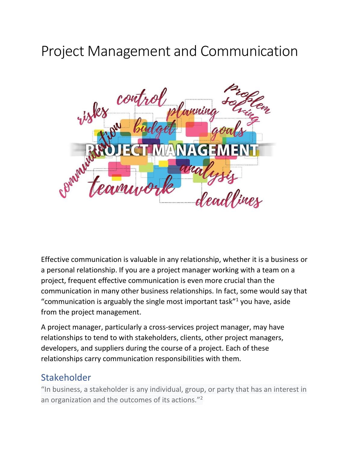# Project Management and Communication



Effective communication is valuable in any relationship, whether it is a business or a personal relationship. If you are a project manager working with a team on a project, frequent effective communication is even more crucial than the communication in many other business relationships. In fact, some would say that "communication is arguably the single most important task $"$ <sup>1</sup> you have, aside from the project management.

A project manager, particularly a cross-services project manager, may have relationships to tend to with stakeholders, clients, other project managers, developers, and suppliers during the course of a project. Each of these relationships carry communication responsibilities with them.

#### Stakeholder

"In business, a stakeholder is any individual, group, or party that has an interest in an organization and the outcomes of its actions."<sup>2</sup>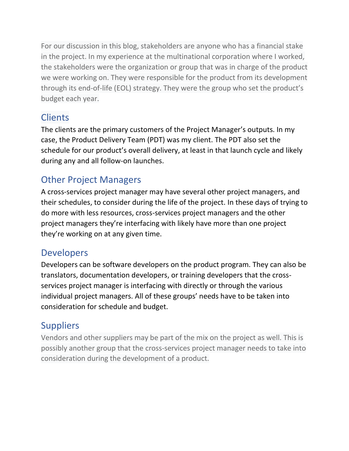For our discussion in this blog, stakeholders are anyone who has a financial stake in the project. In my experience at the multinational corporation where I worked, the stakeholders were the organization or group that was in charge of the product we were working on. They were responsible for the product from its development through its end-of-life (EOL) strategy. They were the group who set the product's budget each year.

## **Clients**

The clients are the primary customers of the Project Manager's outputs. In my case, the Product Delivery Team (PDT) was my client. The PDT also set the schedule for our product's overall delivery, at least in that launch cycle and likely during any and all follow-on launches.

## Other Project Managers

A cross-services project manager may have several other project managers, and their schedules, to consider during the life of the project. In these days of trying to do more with less resources, cross-services project managers and the other project managers they're interfacing with likely have more than one project they're working on at any given time.

### Developers

Developers can be software developers on the product program. They can also be translators, documentation developers, or training developers that the crossservices project manager is interfacing with directly or through the various individual project managers. All of these groups' needs have to be taken into consideration for schedule and budget.

## **Suppliers**

Vendors and other suppliers may be part of the mix on the project as well. This is possibly another group that the cross-services project manager needs to take into consideration during the development of a product.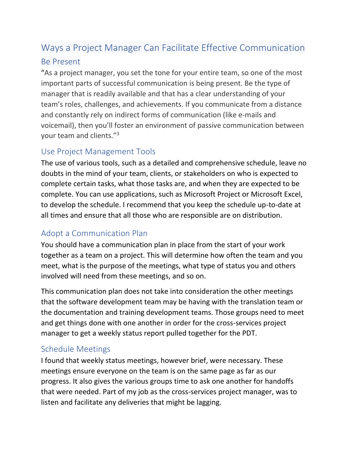## Ways a Project Manager Can Facilitate Effective Communication Be Present

"As a project manager, you set the tone for your entire team, so one of the most important parts of successful communication is being present. Be the type of manager that is readily available and that has a clear understanding of your team's roles, challenges, and achievements. If you communicate from a distance and constantly rely on indirect forms of communication (like e-mails and voicemail), then you'll foster an environment of passive communication between your team and clients."<sup>3</sup>

#### Use Project Management Tools

The use of various tools, such as a detailed and comprehensive schedule, leave no doubts in the mind of your team, clients, or stakeholders on who is expected to complete certain tasks, what those tasks are, and when they are expected to be complete. You can use applications, such as Microsoft Project or Microsoft Excel, to develop the schedule. I recommend that you keep the schedule up-to-date at all times and ensure that all those who are responsible are on distribution.

#### Adopt a Communication Plan

You should have a communication plan in place from the start of your work together as a team on a project. This will determine how often the team and you meet, what is the purpose of the meetings, what type of status you and others involved will need from these meetings, and so on.

This communication plan does not take into consideration the other meetings that the software development team may be having with the translation team or the documentation and training development teams. Those groups need to meet and get things done with one another in order for the cross-services project manager to get a weekly status report pulled together for the PDT.

#### Schedule Meetings

I found that weekly status meetings, however brief, were necessary. These meetings ensure everyone on the team is on the same page as far as our progress. It also gives the various groups time to ask one another for handoffs that were needed. Part of my job as the cross-services project manager, was to listen and facilitate any deliveries that might be lagging.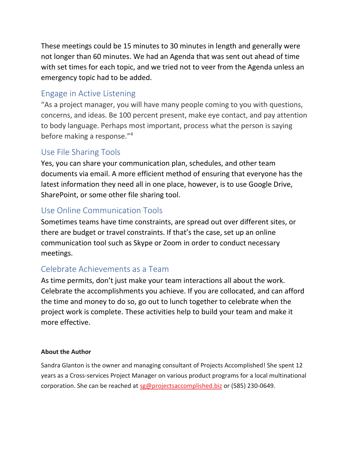These meetings could be 15 minutes to 30 minutes in length and generally were not longer than 60 minutes. We had an Agenda that was sent out ahead of time with set times for each topic, and we tried not to veer from the Agenda unless an emergency topic had to be added.

#### Engage in Active Listening

"As a project manager, you will have many people coming to you with questions, concerns, and ideas. Be 100 percent present, make eye contact, and pay attention to body language. Perhaps most important, process what the person is saying before making a response." 4

#### Use File Sharing Tools

Yes, you can share your communication plan, schedules, and other team documents via email. A more efficient method of ensuring that everyone has the latest information they need all in one place, however, is to use Google Drive, SharePoint, or some other file sharing tool.

#### Use Online Communication Tools

Sometimes teams have time constraints, are spread out over different sites, or there are budget or travel constraints. If that's the case, set up an online communication tool such as Skype or Zoom in order to conduct necessary meetings.

#### Celebrate Achievements as a Team

As time permits, don't just make your team interactions all about the work. Celebrate the accomplishments you achieve. If you are collocated, and can afford the time and money to do so, go out to lunch together to celebrate when the project work is complete. These activities help to build your team and make it more effective.

#### **About the Author**

Sandra Glanton is the owner and managing consultant of Projects Accomplished! She spent 12 years as a Cross-services Project Manager on various product programs for a local multinational corporation. She can be reached at [sg@projectsaccomplished.biz](mailto:sg@projectsaccomplished.biz) or (585) 230-0649.